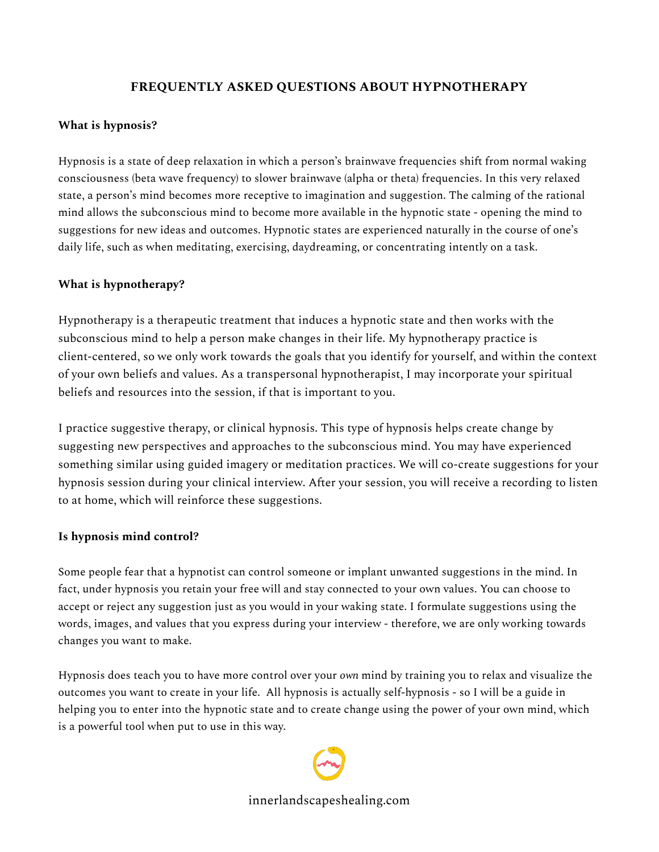# **FREQUENTLY ASKED QUESTIONS ABOUT HYPNOTHERAPY**

### **What is hypnosis?**

Hypnosis is a state of deep relaxation in which a person's brainwave frequencies shift from normal waking consciousness (beta wave frequency) to slower brainwave (alpha or theta) frequencies. In this very relaxed state, a person's mind becomes more receptive to imagination and suggestion. The calming of the rational mind allows the subconscious mind to become more available in the hypnotic state - opening the mind to suggestions for new ideas and outcomes. Hypnotic states are experienced naturally in the course of one's daily life, such as when meditating, exercising, daydreaming, or concentrating intently on a task.

### **What is hypnotherapy?**

Hypnotherapy is a therapeutic treatment that induces a hypnotic state and then works with the subconscious mind to help a person make changes in their life. My hypnotherapy practice is client-centered, so we only work towards the goals that you identify for yourself, and within the context of your own beliefs and values. As a transpersonal hypnotherapist, I may incorporate your spiritual beliefs and resources into the session, if that is important to you.

I practice suggestive therapy, or clinical hypnosis. This type of hypnosis helps create change by suggesting new perspectives and approaches to the subconscious mind. You may have experienced something similar using guided imagery or meditation practices. We will co-create suggestions for your hypnosis session during your clinical interview. After your session, you will receive a recording to listen to at home, which will reinforce these suggestions.

#### **Is hypnosis mind control?**

Some people fear that a hypnotist can control someone or implant unwanted suggestions in the mind. In fact, under hypnosis you retain your free will and stay connected to your own values. You can choose to accept or reject any suggestion just as you would in your waking state. I formulate suggestions using the words, images, and values that you express during your interview - therefore, we are only working towards changes you want to make.

Hypnosis does teach you to have more control over your *own* mind by training you to relax and visualize the outcomes you want to create in your life. All hypnosis is actually self-hypnosis - so I will be a guide in helping you to enter into the hypnotic state and to create change using the power of your own mind, which is a powerful tool when put to use in this way.



innerlandscapeshealing.com